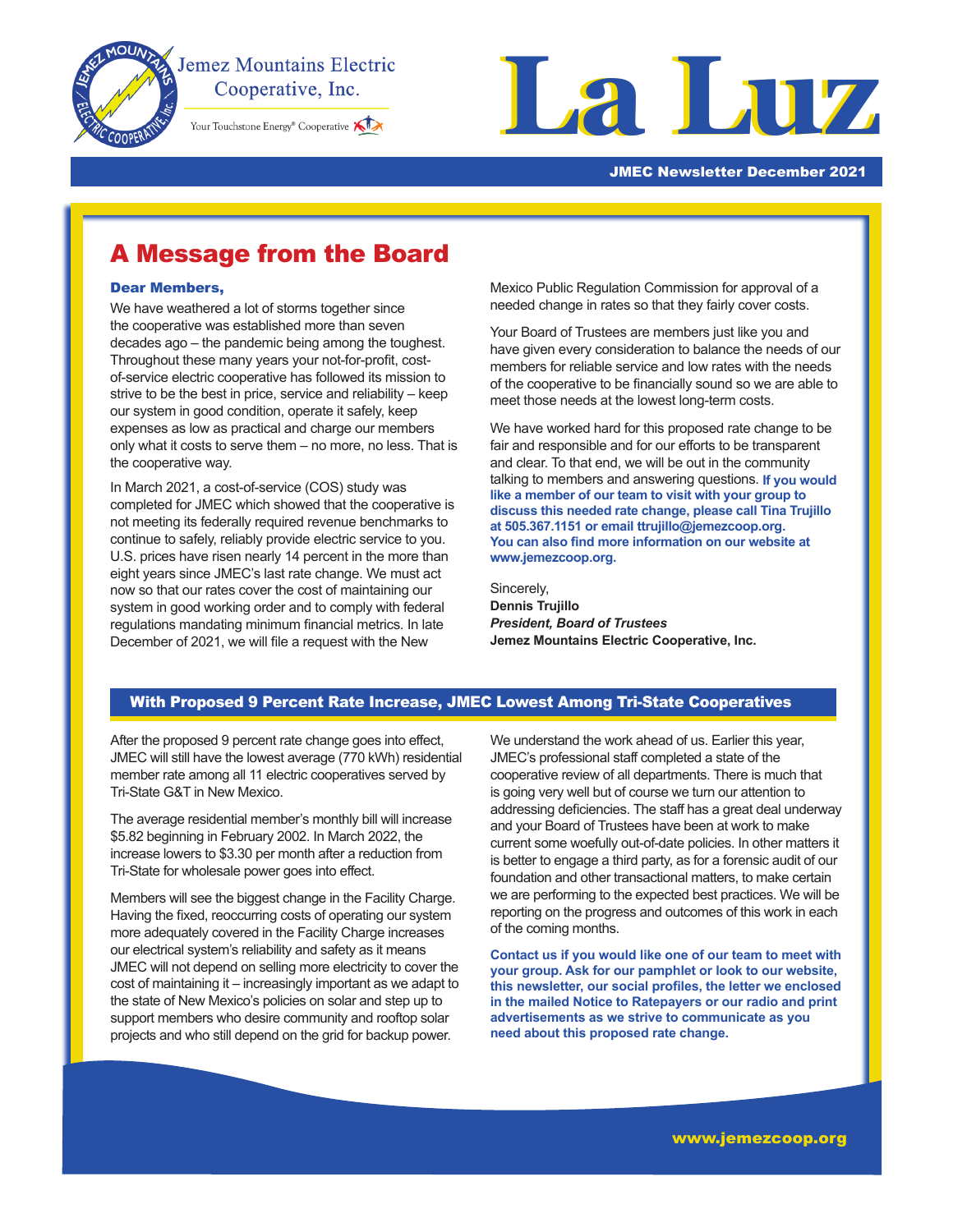

I

# **Jemez Mountains Electric** Cooperative, Inc.

Your Touchstone Energy® Cooperative



#### JMEC Newsletter December 2021

# A Message from the Board

#### Dear Members,

We have weathered a lot of storms together since the cooperative was established more than seven decades ago – the pandemic being among the toughest. Throughout these many years your not-for-profit, costof-service electric cooperative has followed its mission to strive to be the best in price, service and reliability – keep our system in good condition, operate it safely, keep expenses as low as practical and charge our members only what it costs to serve them – no more, no less. That is the cooperative way.

In March 2021, a cost-of-service (COS) study was completed for JMEC which showed that the cooperative is not meeting its federally required revenue benchmarks to continue to safely, reliably provide electric service to you. U.S. prices have risen nearly 14 percent in the more than eight years since JMEC's last rate change. We must act now so that our rates cover the cost of maintaining our system in good working order and to comply with federal regulations mandating minimum financial metrics. In late December of 2021, we will file a request with the New

Mexico Public Regulation Commission for approval of a needed change in rates so that they fairly cover costs.

Your Board of Trustees are members just like you and have given every consideration to balance the needs of our members for reliable service and low rates with the needs of the cooperative to be financially sound so we are able to meet those needs at the lowest long-term costs.

We have worked hard for this proposed rate change to be fair and responsible and for our efforts to be transparent and clear. To that end, we will be out in the community talking to members and answering questions. **If you would like a member of our team to visit with your group to discuss this needed rate change, please call Tina Trujillo at 505.367.1151 or email ttrujillo@jemezcoop.org. You can also find more information on our website at www.jemezcoop.org.**

Sincerely, **Dennis Trujillo** *President, Board of Trustees* **Jemez Mountains Electric Cooperative, Inc.**

### With Proposed 9 Percent Rate Increase, JMEC Lowest Among Tri-State Cooperatives

After the proposed 9 percent rate change goes into effect, JMEC will still have the lowest average (770 kWh) residential member rate among all 11 electric cooperatives served by Tri-State G&T in New Mexico.

The average residential member's monthly bill will increase \$5.82 beginning in February 2002. In March 2022, the increase lowers to \$3.30 per month after a reduction from Tri-State for wholesale power goes into effect.

Members will see the biggest change in the Facility Charge. Having the fixed, reoccurring costs of operating our system more adequately covered in the Facility Charge increases our electrical system's reliability and safety as it means JMEC will not depend on selling more electricity to cover the cost of maintaining it – increasingly important as we adapt to the state of New Mexico's policies on solar and step up to support members who desire community and rooftop solar projects and who still depend on the grid for backup power.

We understand the work ahead of us. Earlier this year, JMEC's professional staff completed a state of the cooperative review of all departments. There is much that is going very well but of course we turn our attention to addressing deficiencies. The staff has a great deal underway and your Board of Trustees have been at work to make current some woefully out-of-date policies. In other matters it is better to engage a third party, as for a forensic audit of our foundation and other transactional matters, to make certain we are performing to the expected best practices. We will be reporting on the progress and outcomes of this work in each of the coming months.

**Contact us if you would like one of our team to meet with your group. Ask for our pamphlet or look to our website, this newsletter, our social profiles, the letter we enclosed in the mailed Notice to Ratepayers or our radio and print advertisements as we strive to communicate as you need about this proposed rate change.**

www.jemezcoop.org